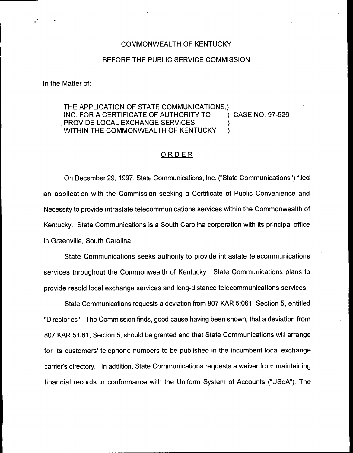## COMMONWEALTH OF KENTUCKY

## BEFORE THE PUBLIC SERVICE COMMISSION

In the Matter of:

## THE APPLICATION OF STATE COMMUNICATIONS,) INC. FOR A CERTIFICATE OF AUTHORITY TO (and ) CASE NO. 97-526 PROVIDE LOCAL EXCHANGE SERVICES WITHIN THE COMMONWEALTH OF KENTUCKY

## ORDER

On December 29, 1997, State Communications, Inc. ("State Communications") filed an application with the Commission seeking a Certificate of Public Convenience and Necessity to provide intrastate telecommunications services within the Commonwealth of Kentucky. State Communications is a South Carolina corporation with its principal office in Greenville, South Carolina.

State Communications seeks authority to provide intrastate telecommunications services throughout the Commonwealth of Kentucky. State Communications plans to provide resold local exchange services and long-distance telecommunications services.

State Communications requests a deviation from 807 KAR 5:061, Section 5, entitled "Directories". The Commission finds, good cause having been shown, that a deviation from 807 KAR 5:061, Section 5, should be granted and that State Communications will arrange for its customers' telephone numbers to be published in the incumbent local exchange carrier's directory. In addition, State Communications requests a waiver from maintaining financial records in conformance with the Uniform System of Accounts ("USoA"). The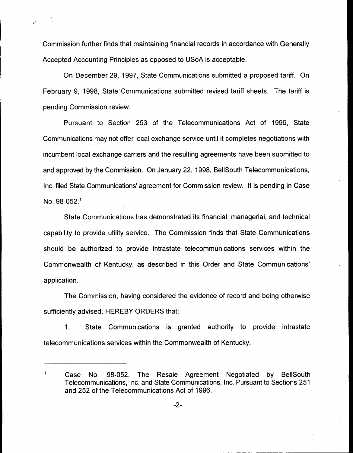Commission further finds that maintaining financial records in accordance with Generally Accepted Accounting Principles as opposed to USoA is acceptable.

On December 29, 1997, State Communications submitted a proposed tariff. On February 9, 1998, State Communications submitted revised tariff sheets. The tariff is pending Commission review.

Pursuant to Section 253 of the Telecommunications Act of 1996, State Communications may not offer local exchange service until it completes negotiations with incumbent local exchange carriers and the resulting agreements have been submitted to and approved by the Commission. On January 22, 1998, BellSouth Telecommunications, Inc. filed State Communications' agreement for Commission review. It is pending in Case No.  $98-052.<sup>1</sup>$ 

State Communications has demonstrated its financial, managerial, and technical capability to provide utility service. The Commission finds that State Communications should be authorized to provide intrastate telecommunications services within the Commonwealth of Kentucky, as described in this Order and State application.

The Commission, having considered the evidence of record and being otherwise sufficiently advised, HEREBY ORDERS that:

 $1<sub>1</sub>$ State Communications is granted authority to provide intrastate telecommunications services within the Commonwealth of Kentucky.

 $\mathbf 1$ 

Case No. 98-052, The Resale Agreement Negotiated by BellSouth Telecommunications, Inc. and State Communications, Inc. Pursuant to Sections 251 and 252 of the Telecommunications Act of 1996.